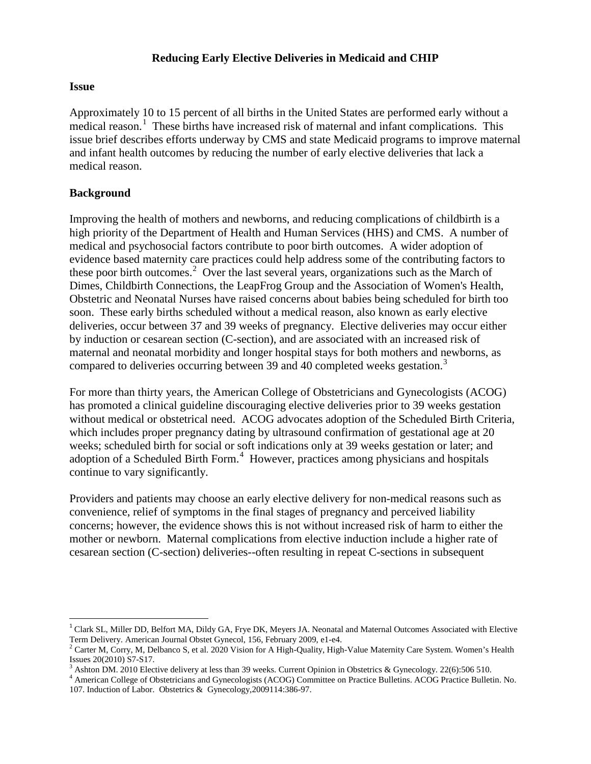### **Reducing Early Elective Deliveries in Medicaid and CHIP**

#### **Issue**

Approximately 10 to 15 percent of all births in the United States are performed early without a medical reason.<sup>[1](#page-0-0)</sup> These births have increased risk of maternal and infant complications. This issue brief describes efforts underway by CMS and state Medicaid programs to improve maternal and infant health outcomes by reducing the number of early elective deliveries that lack a medical reason.

## **Background**

 $\overline{\phantom{a}}$ 

Improving the health of mothers and newborns, and reducing complications of childbirth is a high priority of the Department of Health and Human Services (HHS) and CMS. A number of medical and psychosocial factors contribute to poor birth outcomes. A wider adoption of evidence based maternity care practices could help address some of the contributing factors to these poor birth outcomes.<sup>[2](#page-0-1)</sup> Over the last several years, organizations such as the March of Dimes, Childbirth Connections, the LeapFrog Group and the Association of Women's Health, Obstetric and Neonatal Nurses have raised concerns about babies being scheduled for birth too soon. These early births scheduled without a medical reason, also known as early elective deliveries, occur between 37 and 39 weeks of pregnancy. Elective deliveries may occur either by induction or cesarean section (C-section), and are associated with an increased risk of maternal and neonatal morbidity and longer hospital stays for both mothers and newborns, as compared to deliveries occurring between [3](#page-0-2)9 and 40 completed weeks gestation.<sup>3</sup>

For more than thirty years, the American College of Obstetricians and Gynecologists (ACOG) has promoted a clinical guideline discouraging elective deliveries prior to 39 weeks gestation without medical or obstetrical need. ACOG advocates adoption of the Scheduled Birth Criteria, which includes proper pregnancy dating by ultrasound confirmation of gestational age at 20 weeks; scheduled birth for social or soft indications only at 39 weeks gestation or later; and adoption of a Scheduled Birth Form.<sup>[4](#page-0-3)</sup> However, practices among physicians and hospitals continue to vary significantly.

Providers and patients may choose an early elective delivery for non-medical reasons such as convenience, relief of symptoms in the final stages of pregnancy and perceived liability concerns; however, the evidence shows this is not without increased risk of harm to either the mother or newborn. Maternal complications from elective induction include a higher rate of cesarean section (C-section) deliveries--often resulting in repeat C-sections in subsequent

<span id="page-0-0"></span><sup>&</sup>lt;sup>1</sup> Clark SL, Miller DD, Belfort MA, Dildy GA, Frye DK, Meyers JA. Neonatal and Maternal Outcomes Associated with Elective Term Delivery. American Journal Obstet Gynecol, 156, February 2009, e1-e4.<br><sup>2</sup> Carter M, Corry, M, Delbanco S, et al. 2020 Vision for A High-Quality, High-Value Maternity Care System. Women's Health

<span id="page-0-1"></span>Issues 20(2010) S7-S17.<br><sup>3</sup> Ashton DM. 2010 Elective delivery at less than 39 weeks. Current Opinion in Obstetrics & Gynecology. 22(6):506 510.

<span id="page-0-2"></span>

<span id="page-0-3"></span><sup>4</sup> American College of Obstetricians and Gynecologists (ACOG) Committee on Practice Bulletins. ACOG Practice Bulletin. No. 107. Induction of Labor. Obstetrics & Gynecology,2009114:386-97.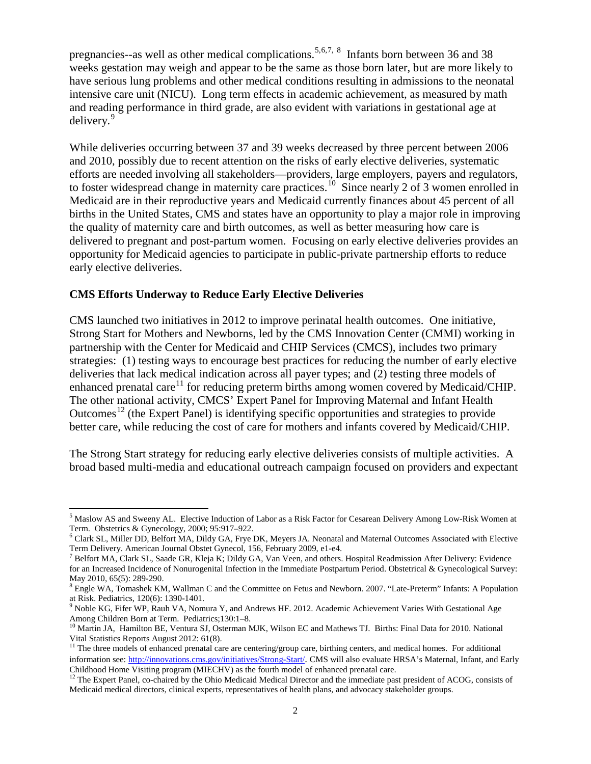pregnancies--as well as other medical complications.<sup>[5](#page-1-0),[6](#page-1-1),[7,](#page-1-2)[8](#page-1-3)</sup> Infants born between 36 and 38 weeks gestation may weigh and appear to be the same as those born later, but are more likely to have serious lung problems and other medical conditions resulting in admissions to the neonatal intensive care unit (NICU). Long term effects in academic achievement, as measured by math and reading performance in third grade, are also evident with variations in gestational age at delivery.<sup>[9](#page-1-4)</sup>

While deliveries occurring between 37 and 39 weeks decreased by three percent between 2006 and 2010, possibly due to recent attention on the risks of early elective deliveries, systematic efforts are needed involving all stakeholders—providers, large employers, payers and regulators, to foster widespread change in maternity care practices.<sup>[10](#page-1-5)</sup> Since nearly 2 of 3 women enrolled in Medicaid are in their reproductive years and Medicaid currently finances about 45 percent of all births in the United States, CMS and states have an opportunity to play a major role in improving the quality of maternity care and birth outcomes, as well as better measuring how care is delivered to pregnant and post-partum women. Focusing on early elective deliveries provides an opportunity for Medicaid agencies to participate in public-private partnership efforts to reduce early elective deliveries.

#### **CMS Efforts Underway to Reduce Early Elective Deliveries**

 $\overline{\phantom{a}}$ 

CMS launched two initiatives in 2012 to improve perinatal health outcomes. One initiative, Strong Start for Mothers and Newborns, led by the CMS Innovation Center (CMMI) working in partnership with the Center for Medicaid and CHIP Services (CMCS), includes two primary strategies: (1) testing ways to encourage best practices for reducing the number of early elective deliveries that lack medical indication across all payer types; and (2) testing three models of enhanced prenatal care<sup>11</sup> for reducing preterm births among women covered by Medicaid/CHIP. The other national activity, CMCS' Expert Panel for Improving Maternal and Infant Health Outcomes<sup>[12](#page-1-7)</sup> (the Expert Panel) is identifying specific opportunities and strategies to provide better care, while reducing the cost of care for mothers and infants covered by Medicaid/CHIP.

The Strong Start strategy for reducing early elective deliveries consists of multiple activities. A broad based multi-media and educational outreach campaign focused on providers and expectant

<span id="page-1-0"></span><sup>5</sup> Maslow AS and Sweeny AL. Elective Induction of Labor as a Risk Factor for Cesarean Delivery Among Low-Risk Women at

<span id="page-1-1"></span>Term. Obstetrics & Gynecology, 2000; 95:917–922.<br><sup>6</sup> Clark SL, Miller DD, Belfort MA, Dildy GA, Frye DK, Meyers JA. Neonatal and Maternal Outcomes Associated with Elective<br>Term Delivery. American Journal Obstet Gynecol, 15

<span id="page-1-2"></span><sup>&</sup>lt;sup>7</sup> Belfort MA, Clark SL, Saade GR, Kleja K; Dildy GA, Van Veen, and others. Hospital Readmission After Delivery: Evidence for an Increased Incidence of Nonurogenital Infection in the Immediate Postpartum Period. Obstetrical & Gynecological Survey:

<span id="page-1-3"></span>May 2010, 65(5): 289-290.<br><sup>8</sup> Engle WA, Tomashek KM, Wallman C and the Committee on Fetus and Newborn. 2007. "Late-Preterm" Infants: A Population at Risk. Pediatrics, 120(6): 1390-1401.

<span id="page-1-4"></span> $9$  Noble KG, Fifer WP, Rauh VA, Nomura Y, and Andrews HF. 2012. Academic Achievement Varies With Gestational Age

<span id="page-1-5"></span>Among Children Born at Term. Pediatrics;130:1–8.<br><sup>10</sup> Martin JA, Hamilton BE, Ventura SJ, Osterman MJK, Wilson EC and Mathews TJ. Births: Final Data for 2010. National Vital Statistics Reports August 2012: 61(8).

<span id="page-1-6"></span><sup>&</sup>lt;sup>11</sup> The three models of enhanced prenatal care are centering/group care, birthing centers, and medical homes. For additional information see: [http://innovations.cms.gov/initiatives/Strong-Start/.](http://innovations.cms.gov/initiatives/Strong-Start/) CMS will also evaluate HRSA's Maternal, Infant, and Early Childhood Home Visiting program (MIECHV) as the fourth model of enhanced prenatal care.

<span id="page-1-7"></span><sup>&</sup>lt;sup>12</sup> The Expert Panel, co-chaired by the Ohio Medicaid Medical Director and the immediate past president of ACOG, consists of Medicaid medical directors, clinical experts, representatives of health plans, and advocacy stakeholder groups.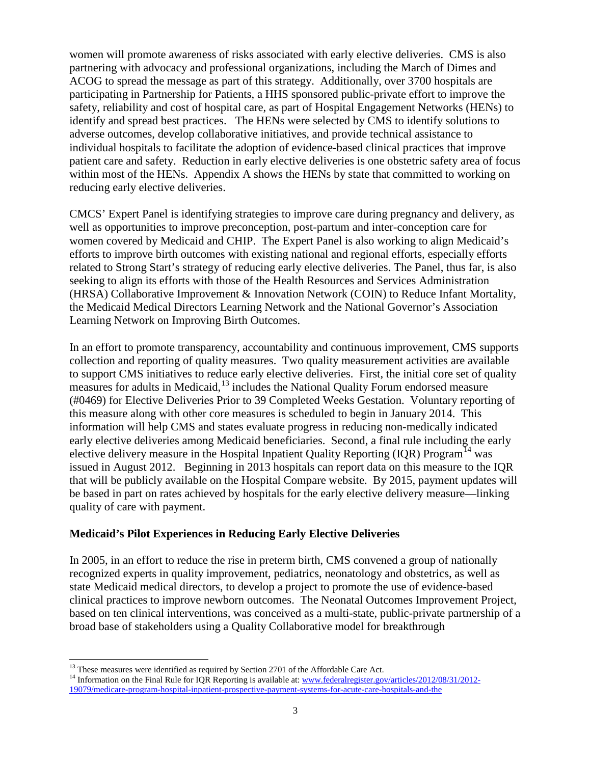women will promote awareness of risks associated with early elective deliveries. CMS is also partnering with advocacy and professional organizations, including the March of Dimes and ACOG to spread the message as part of this strategy. Additionally, over 3700 hospitals are participating in Partnership for Patients, a HHS sponsored public-private effort to improve the safety, reliability and cost of hospital care, as part of Hospital Engagement Networks (HENs) to identify and spread best practices. The HENs were selected by CMS to identify solutions to adverse outcomes, develop collaborative initiatives, and provide technical assistance to individual hospitals to facilitate the adoption of evidence-based clinical practices that improve patient care and safety. Reduction in early elective deliveries is one obstetric safety area of focus within most of the HENs. Appendix A shows the HENs by state that committed to working on reducing early elective deliveries.

CMCS' Expert Panel is identifying strategies to improve care during pregnancy and delivery, as well as opportunities to improve preconception, post-partum and inter-conception care for women covered by Medicaid and CHIP. The Expert Panel is also working to align Medicaid's efforts to improve birth outcomes with existing national and regional efforts, especially efforts related to Strong Start's strategy of reducing early elective deliveries. The Panel, thus far, is also seeking to align its efforts with those of the Health Resources and Services Administration (HRSA) Collaborative Improvement & Innovation Network (COIN) to Reduce Infant Mortality, the Medicaid Medical Directors Learning Network and the National Governor's Association Learning Network on Improving Birth Outcomes.

In an effort to promote transparency, accountability and continuous improvement, CMS supports collection and reporting of quality measures. Two quality measurement activities are available to support CMS initiatives to reduce early elective deliveries. First, the initial core set of quality measures for adults in Medicaid, <sup>13</sup> includes the National Quality Forum endorsed measure (#0469) for Elective Deliveries Prior to 39 Completed Weeks Gestation. Voluntary reporting of this measure along with other core measures is scheduled to begin in January 2014. This information will help CMS and states evaluate progress in reducing non-medically indicated early elective deliveries among Medicaid beneficiaries. Second, a final rule including the early elective delivery measure in the Hospital Inpatient Quality Reporting (IQR) Program<sup>[14](#page-2-1)</sup> was issued in August 2012. Beginning in 2013 hospitals can report data on this measure to the IQR that will be publicly available on the Hospital Compare website. By 2015, payment updates will be based in part on rates achieved by hospitals for the early elective delivery measure—linking quality of care with payment.

#### **Medicaid's Pilot Experiences in Reducing Early Elective Deliveries**

In 2005, in an effort to reduce the rise in preterm birth, CMS convened a group of nationally recognized experts in quality improvement, pediatrics, neonatology and obstetrics, as well as state Medicaid medical directors, to develop a project to promote the use of evidence-based clinical practices to improve newborn outcomes. The Neonatal Outcomes Improvement Project, based on ten clinical interventions, was conceived as a multi-state, public-private partnership of a broad base of stakeholders using a Quality Collaborative model for breakthrough

<span id="page-2-0"></span><sup>&</sup>lt;sup>13</sup> These measures were identified as required by Section 2701 of the Affordable Care Act.

<span id="page-2-1"></span><sup>&</sup>lt;sup>14</sup> Information on the Final Rule for IQR Reporting is available at: [www.federalregister.gov/articles/2012/08/31/2012-](http://www.federalregister.gov/articles/2012/08/31/2012-19079/medicare-program-hospital-inpatient-prospective-payment-systems-for-acute-care-hospitals-and-the) [19079/medicare-program-hospital-inpatient-prospective-payment-systems-for-acute-care-hospitals-and-the](http://www.federalregister.gov/articles/2012/08/31/2012-19079/medicare-program-hospital-inpatient-prospective-payment-systems-for-acute-care-hospitals-and-the)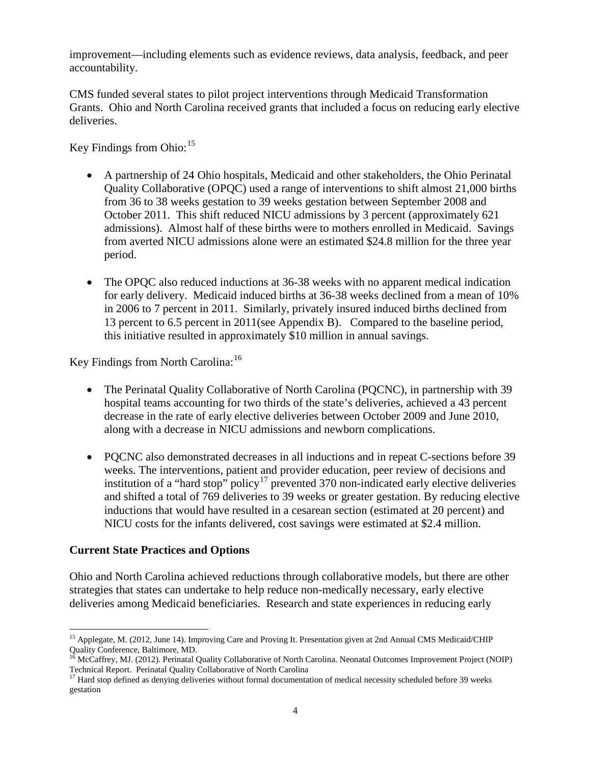improvement—including elements such as evidence reviews, data analysis, feedback, and peer accountability.

CMS funded several states to pilot project interventions through Medicaid Transformation Grants. Ohio and North Carolina received grants that included a focus on reducing early elective deliveries.

Key Findings from Ohio: [15](#page-3-0)

- A partnership of 24 Ohio hospitals, Medicaid and other stakeholders, the Ohio Perinatal Quality Collaborative (OPQC) used a range of interventions to shift almost 21,000 births from 36 to 38 weeks gestation to 39 weeks gestation between September 2008 and October 2011. This shift reduced NICU admissions by 3 percent (approximately 621 admissions). Almost half of these births were to mothers enrolled in Medicaid. Savings from averted NICU admissions alone were an estimated \$24.8 million for the three year period.
- The OPQC also reduced inductions at 36-38 weeks with no apparent medical indication for early delivery. Medicaid induced births at 36-38 weeks declined from a mean of 10% in 2006 to 7 percent in 2011. Similarly, privately insured induced births declined from 13 percent to 6.5 percent in 2011(see Appendix B). Compared to the baseline period, this initiative resulted in approximately \$10 million in annual savings.

Key Findings from North Carolina:<sup>[16](#page-3-1)</sup>

- The Perinatal Quality Collaborative of North Carolina (PQCNC), in partnership with 39 hospital teams accounting for two thirds of the state's deliveries, achieved a 43 percent decrease in the rate of early elective deliveries between October 2009 and June 2010, along with a decrease in NICU admissions and newborn complications.
- PQCNC also demonstrated decreases in all inductions and in repeat C-sections before 39 weeks. The interventions, patient and provider education, peer review of decisions and institution of a "hard stop" policy<sup>17</sup> prevented 370 non-indicated early elective deliveries and shifted a total of 769 deliveries to 39 weeks or greater gestation. By reducing elective inductions that would have resulted in a cesarean section (estimated at 20 percent) and NICU costs for the infants delivered, cost savings were estimated at \$2.4 million.

## **Current State Practices and Options**

Ohio and North Carolina achieved reductions through collaborative models, but there are other strategies that states can undertake to help reduce non-medically necessary, early elective deliveries among Medicaid beneficiaries. Research and state experiences in reducing early

<span id="page-3-0"></span>l <sup>15</sup> Applegate, M. (2012, June 14). Improving Care and Proving It. Presentation given at 2nd Annual CMS Medicaid/CHIP Quality Conference, Baltimore, MD.

<span id="page-3-1"></span><sup>16</sup> McCaffrey, MJ. (2012). Perinatal Quality Collaborative of North Carolina. Neonatal Outcomes Improvement Project (NOIP) Technical Report. Perinatal Quality Collaborative of North Carolina

<span id="page-3-2"></span><sup>&</sup>lt;sup>17</sup> Hard stop defined as denying deliveries without formal documentation of medical necessity scheduled before 39 weeks gestation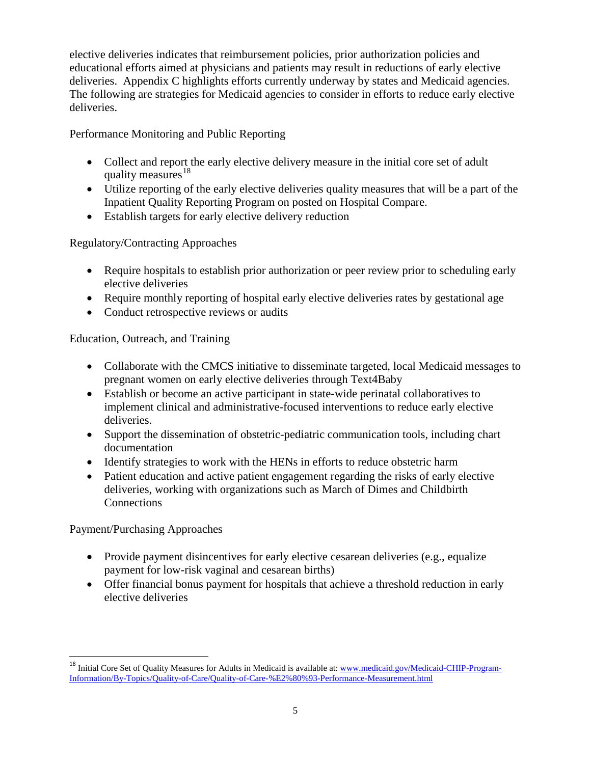elective deliveries indicates that reimbursement policies, prior authorization policies and educational efforts aimed at physicians and patients may result in reductions of early elective deliveries. Appendix C highlights efforts currently underway by states and Medicaid agencies. The following are strategies for Medicaid agencies to consider in efforts to reduce early elective deliveries.

Performance Monitoring and Public Reporting

- Collect and report the early elective delivery measure in the initial core set of adult quality measures $^{18}$
- Utilize reporting of the early elective deliveries quality measures that will be a part of the Inpatient Quality Reporting Program on posted on Hospital Compare.
- Establish targets for early elective delivery reduction

Regulatory/Contracting Approaches

- Require hospitals to establish prior authorization or peer review prior to scheduling early elective deliveries
- Require monthly reporting of hospital early elective deliveries rates by gestational age
- Conduct retrospective reviews or audits

Education, Outreach, and Training

- Collaborate with the CMCS initiative to disseminate targeted, local Medicaid messages to pregnant women on early elective deliveries through Text4Baby
- Establish or become an active participant in state-wide perinatal collaboratives to implement clinical and administrative-focused interventions to reduce early elective deliveries.
- Support the dissemination of obstetric-pediatric communication tools, including chart documentation
- Identify strategies to work with the HENs in efforts to reduce obstetric harm
- Patient education and active patient engagement regarding the risks of early elective deliveries, working with organizations such as March of Dimes and Childbirth **Connections**

Payment/Purchasing Approaches

 $\overline{\phantom{a}}$ 

- Provide payment disincentives for early elective cesarean deliveries (e.g., equalize payment for low-risk vaginal and cesarean births)
- Offer financial bonus payment for hospitals that achieve a threshold reduction in early elective deliveries

<span id="page-4-0"></span><sup>&</sup>lt;sup>18</sup> Initial Core Set of Quality Measures for Adults in Medicaid is available at[: www.medicaid.gov/Medicaid-CHIP-Program-](http://www.medicaid.gov/Medicaid-CHIP-Program-Information/By-Topics/Quality-of-Care/Quality-of-Care-%E2%80%93-Performance-Measurement.html)[Information/By-Topics/Quality-of-Care/Quality-of-Care-%E2%80%93-Performance-Measurement.html](http://www.medicaid.gov/Medicaid-CHIP-Program-Information/By-Topics/Quality-of-Care/Quality-of-Care-%E2%80%93-Performance-Measurement.html)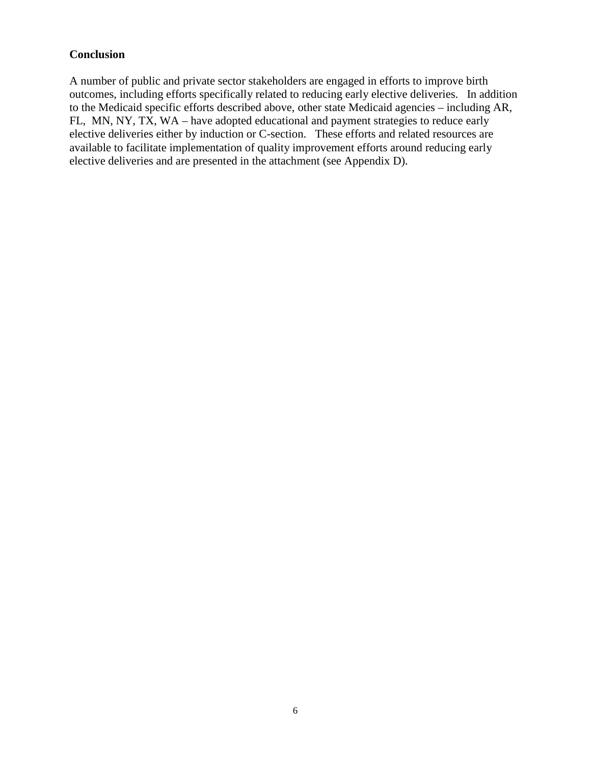### **Conclusion**

A number of public and private sector stakeholders are engaged in efforts to improve birth outcomes, including efforts specifically related to reducing early elective deliveries. In addition to the Medicaid specific efforts described above, other state Medicaid agencies – including AR, FL, MN, NY, TX, WA – have adopted educational and payment strategies to reduce early elective deliveries either by induction or C-section. These efforts and related resources are available to facilitate implementation of quality improvement efforts around reducing early elective deliveries and are presented in the attachment (see Appendix D).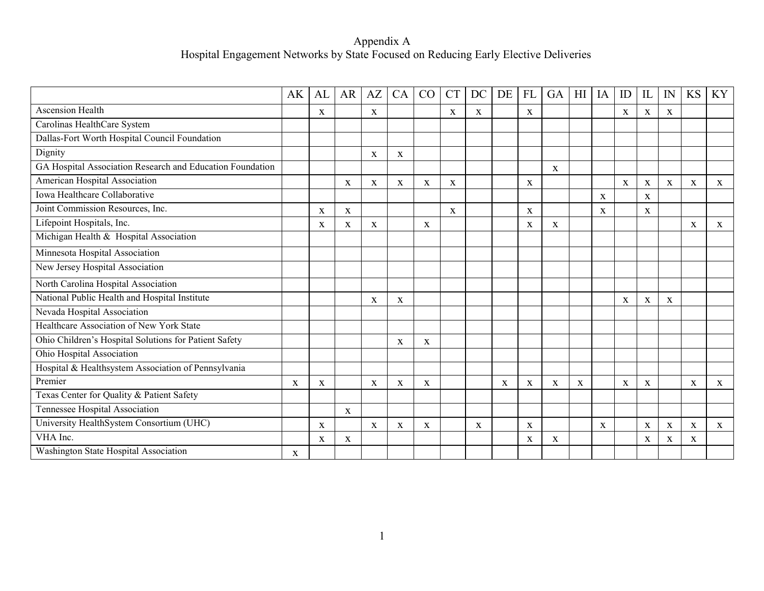#### Appendix A Hospital Engagement Networks by State Focused on Reducing Early Elective Deliveries

|                                                           | AK | AL | <b>AR</b>   | AZ | CA          | CO           | <b>CT</b> | DC | DE | <b>FL</b> | GA | H <sub>I</sub> | IA | ID           | IL           | IN | <b>KS</b>    | KY          |
|-----------------------------------------------------------|----|----|-------------|----|-------------|--------------|-----------|----|----|-----------|----|----------------|----|--------------|--------------|----|--------------|-------------|
| Ascension Health                                          |    | X  |             | X  |             |              | X         | X  |    | X         |    |                |    | $\mathbf X$  | $\mathbf X$  | X  |              |             |
| Carolinas HealthCare System                               |    |    |             |    |             |              |           |    |    |           |    |                |    |              |              |    |              |             |
| Dallas-Fort Worth Hospital Council Foundation             |    |    |             |    |             |              |           |    |    |           |    |                |    |              |              |    |              |             |
| Dignity                                                   |    |    |             | X  | $\mathbf X$ |              |           |    |    |           |    |                |    |              |              |    |              |             |
| GA Hospital Association Research and Education Foundation |    |    |             |    |             |              |           |    |    |           | X  |                |    |              |              |    |              |             |
| American Hospital Association                             |    |    | X           | X  | X           | X            | X         |    |    | X         |    |                |    | $\mathbf{X}$ | $\mathbf X$  | X  | $\mathbf X$  | $\mathbf X$ |
| Iowa Healthcare Collaborative                             |    |    |             |    |             |              |           |    |    |           |    |                | X  |              | X            |    |              |             |
| Joint Commission Resources, Inc.                          |    | X  | X           |    |             |              | X         |    |    | X         |    |                | X  |              | $\mathbf{X}$ |    |              |             |
| Lifepoint Hospitals, Inc.                                 |    | X  | X           | X  |             | $\mathbf{X}$ |           |    |    | X         | X  |                |    |              |              |    | $\mathbf{X}$ | X           |
| Michigan Health & Hospital Association                    |    |    |             |    |             |              |           |    |    |           |    |                |    |              |              |    |              |             |
| Minnesota Hospital Association                            |    |    |             |    |             |              |           |    |    |           |    |                |    |              |              |    |              |             |
| New Jersey Hospital Association                           |    |    |             |    |             |              |           |    |    |           |    |                |    |              |              |    |              |             |
| North Carolina Hospital Association                       |    |    |             |    |             |              |           |    |    |           |    |                |    |              |              |    |              |             |
| National Public Health and Hospital Institute             |    |    |             | X  | X           |              |           |    |    |           |    |                |    | X            | X            | X  |              |             |
| Nevada Hospital Association                               |    |    |             |    |             |              |           |    |    |           |    |                |    |              |              |    |              |             |
| Healthcare Association of New York State                  |    |    |             |    |             |              |           |    |    |           |    |                |    |              |              |    |              |             |
| Ohio Children's Hospital Solutions for Patient Safety     |    |    |             |    | X           | $\mathbf X$  |           |    |    |           |    |                |    |              |              |    |              |             |
| Ohio Hospital Association                                 |    |    |             |    |             |              |           |    |    |           |    |                |    |              |              |    |              |             |
| Hospital & Healthsystem Association of Pennsylvania       |    |    |             |    |             |              |           |    |    |           |    |                |    |              |              |    |              |             |
| Premier                                                   | X  | X  |             | X  | X           | $\mathbf X$  |           |    | X  | X         | X  | X              |    | X            | $\mathbf X$  |    | X            | X           |
| Texas Center for Quality & Patient Safety                 |    |    |             |    |             |              |           |    |    |           |    |                |    |              |              |    |              |             |
| Tennessee Hospital Association                            |    |    | X           |    |             |              |           |    |    |           |    |                |    |              |              |    |              |             |
| University HealthSystem Consortium (UHC)                  |    | X  |             | X  | X           | X            |           | X  |    | X         |    |                | X  |              | X            | X  | X            | X           |
| VHA Inc.                                                  |    | X  | $\mathbf X$ |    |             |              |           |    |    | X         | X  |                |    |              | X            | X  | $\mathbf X$  |             |
| Washington State Hospital Association                     | X  |    |             |    |             |              |           |    |    |           |    |                |    |              |              |    |              |             |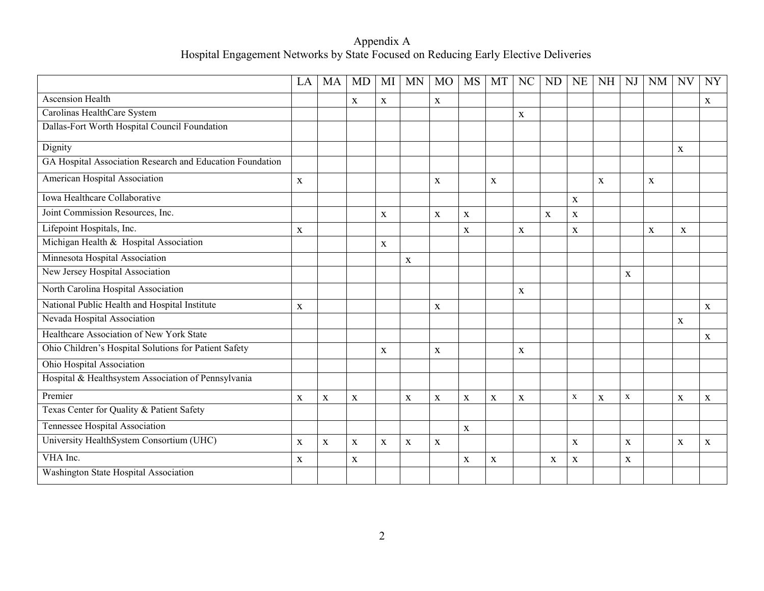Appendix A Hospital Engagement Networks by State Focused on Reducing Early Elective Deliveries

|                                                           | LA          | <b>MA</b>   | <b>MD</b>   | MI          | <b>MN</b>   | M <sub>O</sub> | <b>MS</b>   | MT           | NC          | <b>ND</b> | <b>NE</b>   | <b>NH</b> | NJ           | <b>NM</b>   | <b>NV</b>    | <b>NY</b> |
|-----------------------------------------------------------|-------------|-------------|-------------|-------------|-------------|----------------|-------------|--------------|-------------|-----------|-------------|-----------|--------------|-------------|--------------|-----------|
| <b>Ascension Health</b>                                   |             |             | $\mathbf X$ | X           |             | $\mathbf X$    |             |              |             |           |             |           |              |             |              | X         |
| Carolinas HealthCare System                               |             |             |             |             |             |                |             |              | $\mathbf X$ |           |             |           |              |             |              |           |
| Dallas-Fort Worth Hospital Council Foundation             |             |             |             |             |             |                |             |              |             |           |             |           |              |             |              |           |
| Dignity                                                   |             |             |             |             |             |                |             |              |             |           |             |           |              |             | $\mathbf X$  |           |
| GA Hospital Association Research and Education Foundation |             |             |             |             |             |                |             |              |             |           |             |           |              |             |              |           |
| American Hospital Association                             | X           |             |             |             |             | $\mathbf{X}$   |             | $\mathbf{X}$ |             |           |             | X         |              | X           |              |           |
| Iowa Healthcare Collaborative                             |             |             |             |             |             |                |             |              |             |           | $\mathbf X$ |           |              |             |              |           |
| Joint Commission Resources, Inc.                          |             |             |             | X           |             | $\mathbf X$    | X           |              |             | X         | X           |           |              |             |              |           |
| Lifepoint Hospitals, Inc.                                 | $\mathbf X$ |             |             |             |             |                | X           |              | $\mathbf X$ |           | X           |           |              | $\mathbf X$ | $\mathbf{X}$ |           |
| Michigan Health & Hospital Association                    |             |             |             | $\mathbf X$ |             |                |             |              |             |           |             |           |              |             |              |           |
| Minnesota Hospital Association                            |             |             |             |             | X           |                |             |              |             |           |             |           |              |             |              |           |
| New Jersey Hospital Association                           |             |             |             |             |             |                |             |              |             |           |             |           | X            |             |              |           |
| North Carolina Hospital Association                       |             |             |             |             |             |                |             |              | $\mathbf X$ |           |             |           |              |             |              |           |
| National Public Health and Hospital Institute             | X           |             |             |             |             | $\mathbf{X}$   |             |              |             |           |             |           |              |             |              | X         |
| Nevada Hospital Association                               |             |             |             |             |             |                |             |              |             |           |             |           |              |             | $\mathbf X$  |           |
| Healthcare Association of New York State                  |             |             |             |             |             |                |             |              |             |           |             |           |              |             |              | X         |
| Ohio Children's Hospital Solutions for Patient Safety     |             |             |             | $\mathbf X$ |             | $\mathbf X$    |             |              | $\mathbf X$ |           |             |           |              |             |              |           |
| Ohio Hospital Association                                 |             |             |             |             |             |                |             |              |             |           |             |           |              |             |              |           |
| Hospital & Healthsystem Association of Pennsylvania       |             |             |             |             |             |                |             |              |             |           |             |           |              |             |              |           |
| Premier                                                   | $\mathbf X$ | $\mathbf X$ | $\mathbf X$ |             | $\mathbf X$ | $\mathbf X$    | $\mathbf X$ | $\mathbf X$  | $\mathbf X$ |           | $\mathbf X$ | X         | $\mathbf X$  |             | $\mathbf X$  | X         |
| Texas Center for Quality & Patient Safety                 |             |             |             |             |             |                |             |              |             |           |             |           |              |             |              |           |
| Tennessee Hospital Association                            |             |             |             |             |             |                | $\mathbf X$ |              |             |           |             |           |              |             |              |           |
| University HealthSystem Consortium (UHC)                  | $\mathbf X$ | $\mathbf X$ | $\mathbf X$ | X           | $\mathbf X$ | $\mathbf{X}$   |             |              |             |           | X           |           | $\mathbf{X}$ |             | X            | X         |
| VHA Inc.                                                  | $\mathbf X$ |             | $\mathbf X$ |             |             |                | $\mathbf X$ | $\mathbf X$  |             | X         | $\mathbf X$ |           | X            |             |              |           |
| Washington State Hospital Association                     |             |             |             |             |             |                |             |              |             |           |             |           |              |             |              |           |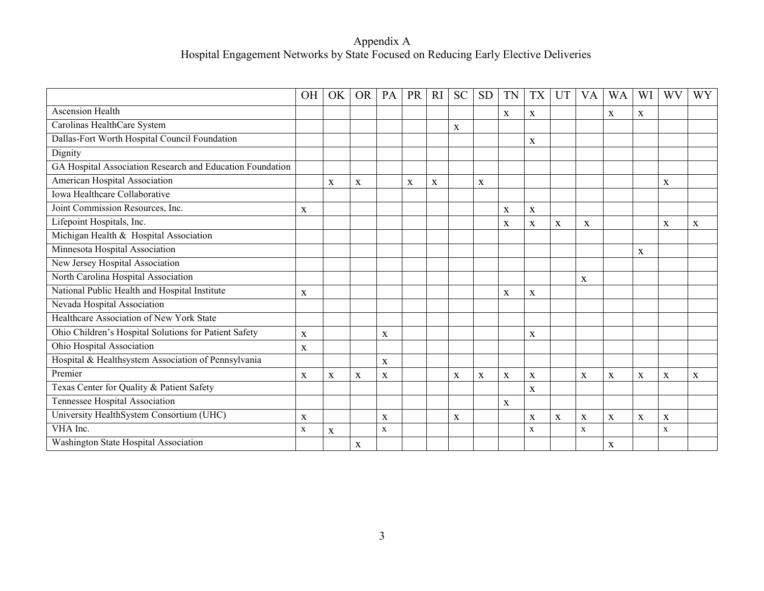#### Appendix A Hospital Engagement Networks by State Focused on Reducing Early Elective Deliveries

|                                                           | <b>OH</b>   | OK | <b>OR</b>   | PA          | <b>PR</b> | <b>RI</b> | <b>SC</b>    | <b>SD</b> | TN | TX          | UT          | VA           | <b>WA</b>   | WI       | WV          | WY |
|-----------------------------------------------------------|-------------|----|-------------|-------------|-----------|-----------|--------------|-----------|----|-------------|-------------|--------------|-------------|----------|-------------|----|
| <b>Ascension Health</b>                                   |             |    |             |             |           |           |              |           | X  | X           |             |              | $\mathbf X$ | $\bf{X}$ |             |    |
| Carolinas HealthCare System                               |             |    |             |             |           |           | $\bf{X}$     |           |    |             |             |              |             |          |             |    |
| Dallas-Fort Worth Hospital Council Foundation             |             |    |             |             |           |           |              |           |    | X           |             |              |             |          |             |    |
| Dignity                                                   |             |    |             |             |           |           |              |           |    |             |             |              |             |          |             |    |
| GA Hospital Association Research and Education Foundation |             |    |             |             |           |           |              |           |    |             |             |              |             |          |             |    |
| American Hospital Association                             |             | X  | X           |             | X         | X         |              | X         |    |             |             |              |             |          | X           |    |
| Iowa Healthcare Collaborative                             |             |    |             |             |           |           |              |           |    |             |             |              |             |          |             |    |
| Joint Commission Resources, Inc.                          | X           |    |             |             |           |           |              |           | X  | X           |             |              |             |          |             |    |
| Lifepoint Hospitals, Inc.                                 |             |    |             |             |           |           |              |           | X  | X           | $\mathbf X$ | X            |             |          | X           | X  |
| Michigan Health & Hospital Association                    |             |    |             |             |           |           |              |           |    |             |             |              |             |          |             |    |
| Minnesota Hospital Association                            |             |    |             |             |           |           |              |           |    |             |             |              |             | X        |             |    |
| New Jersey Hospital Association                           |             |    |             |             |           |           |              |           |    |             |             |              |             |          |             |    |
| North Carolina Hospital Association                       |             |    |             |             |           |           |              |           |    |             |             | X            |             |          |             |    |
| National Public Health and Hospital Institute             | X           |    |             |             |           |           |              |           | X  | X           |             |              |             |          |             |    |
| Nevada Hospital Association                               |             |    |             |             |           |           |              |           |    |             |             |              |             |          |             |    |
| Healthcare Association of New York State                  |             |    |             |             |           |           |              |           |    |             |             |              |             |          |             |    |
| Ohio Children's Hospital Solutions for Patient Safety     | $\mathbf X$ |    |             | X           |           |           |              |           |    | X           |             |              |             |          |             |    |
| Ohio Hospital Association                                 | $\mathbf X$ |    |             |             |           |           |              |           |    |             |             |              |             |          |             |    |
| Hospital & Healthsystem Association of Pennsylvania       |             |    |             | X           |           |           |              |           |    |             |             |              |             |          |             |    |
| Premier                                                   | X           | X  | $\mathbf X$ | X           |           |           | $\bf{X}$     | X         | X  | X           |             | $\mathbf{X}$ | X           | X        | X           | X  |
| Texas Center for Quality & Patient Safety                 |             |    |             |             |           |           |              |           |    | $\mathbf X$ |             |              |             |          |             |    |
| Tennessee Hospital Association                            |             |    |             |             |           |           |              |           | X  |             |             |              |             |          |             |    |
| University HealthSystem Consortium (UHC)                  | X           |    |             | X           |           |           | $\mathbf{x}$ |           |    | X           | X           | X            | $\mathbf X$ | X        | $\mathbf X$ |    |
| VHA Inc.                                                  | $\mathbf X$ | X  |             | $\mathbf X$ |           |           |              |           |    | X           |             | $\mathbf X$  |             |          | X           |    |
| Washington State Hospital Association                     |             |    | X           |             |           |           |              |           |    |             |             |              | X           |          |             |    |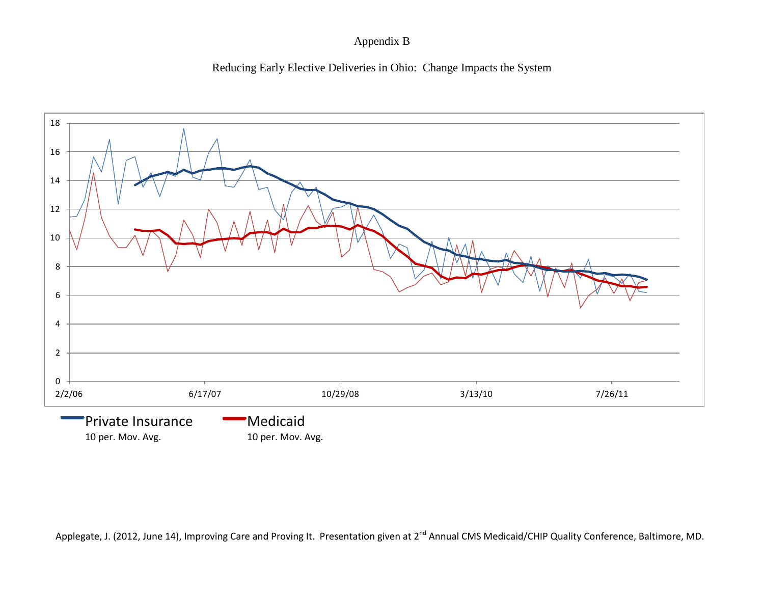### Appendix B





Applegate, J. (2012, June 14), Improving Care and Proving It. Presentation given at 2<sup>nd</sup> Annual CMS Medicaid/CHIP Quality Conference, Baltimore, MD.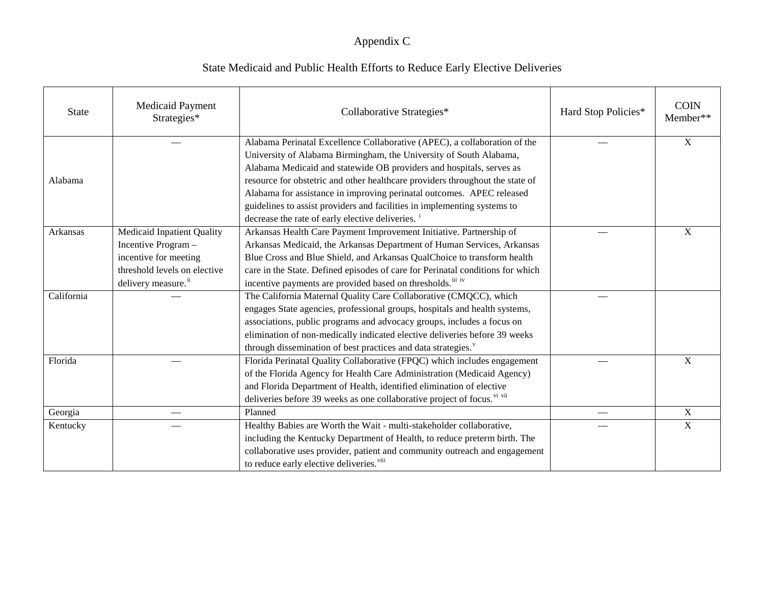| <b>State</b> | <b>Medicaid Payment</b><br>Strategies* | Collaborative Strategies*                                                      | Hard Stop Policies* | <b>COIN</b><br>Member** |
|--------------|----------------------------------------|--------------------------------------------------------------------------------|---------------------|-------------------------|
|              |                                        | Alabama Perinatal Excellence Collaborative (APEC), a collaboration of the      |                     | $\overline{X}$          |
|              |                                        | University of Alabama Birmingham, the University of South Alabama,             |                     |                         |
|              |                                        | Alabama Medicaid and statewide OB providers and hospitals, serves as           |                     |                         |
| Alabama      |                                        | resource for obstetric and other healthcare providers throughout the state of  |                     |                         |
|              |                                        | Alabama for assistance in improving perinatal outcomes. APEC released          |                     |                         |
|              |                                        | guidelines to assist providers and facilities in implementing systems to       |                     |                         |
|              |                                        | decrease the rate of early elective deliveries. <sup>1</sup>                   |                     |                         |
| Arkansas     | Medicaid Inpatient Quality             | Arkansas Health Care Payment Improvement Initiative. Partnership of            |                     | X                       |
|              | Incentive Program -                    | Arkansas Medicaid, the Arkansas Department of Human Services, Arkansas         |                     |                         |
|              | incentive for meeting                  | Blue Cross and Blue Shield, and Arkansas QualChoice to transform health        |                     |                         |
|              | threshold levels on elective           | care in the State. Defined episodes of care for Perinatal conditions for which |                     |                         |
|              | delivery measure. <sup>ii</sup>        | incentive payments are provided based on thresholds. iii iv                    |                     |                         |
| California   |                                        | The California Maternal Quality Care Collaborative (CMQCC), which              |                     |                         |
|              |                                        | engages State agencies, professional groups, hospitals and health systems,     |                     |                         |
|              |                                        | associations, public programs and advocacy groups, includes a focus on         |                     |                         |
|              |                                        | elimination of non-medically indicated elective deliveries before 39 weeks     |                     |                         |
|              |                                        | through dissemination of best practices and data strategies. <sup>v</sup>      |                     |                         |
| Florida      |                                        | Florida Perinatal Quality Collaborative (FPQC) which includes engagement       |                     | X                       |
|              |                                        | of the Florida Agency for Health Care Administration (Medicaid Agency)         |                     |                         |
|              |                                        | and Florida Department of Health, identified elimination of elective           |                     |                         |
|              |                                        | deliveries before 39 weeks as one collaborative project of focus. Vi vii       |                     |                         |
| Georgia      |                                        | Planned                                                                        |                     | X                       |
| Kentucky     |                                        | Healthy Babies are Worth the Wait - multi-stakeholder collaborative,           |                     | $\mathbf X$             |
|              |                                        | including the Kentucky Department of Health, to reduce preterm birth. The      |                     |                         |
|              |                                        | collaborative uses provider, patient and community outreach and engagement     |                     |                         |
|              |                                        | to reduce early elective deliveries. <sup>viii</sup>                           |                     |                         |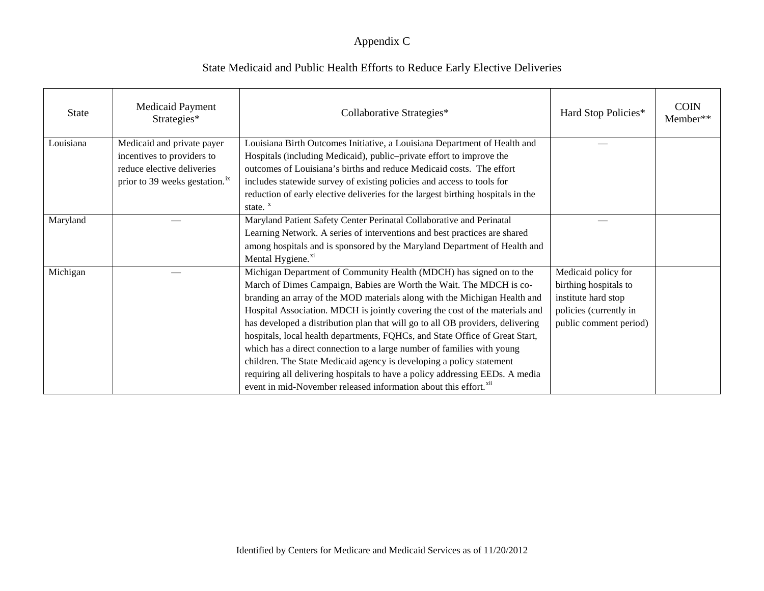| <b>State</b> | <b>Medicaid Payment</b><br>Strategies*                                                                                               | Collaborative Strategies*                                                                                                                                                                                                                                                                                                                                                                                                                                                                                                                                                                                                                                                                                                                                                                   | Hard Stop Policies*                                                                                                     | <b>COIN</b><br>Member** |
|--------------|--------------------------------------------------------------------------------------------------------------------------------------|---------------------------------------------------------------------------------------------------------------------------------------------------------------------------------------------------------------------------------------------------------------------------------------------------------------------------------------------------------------------------------------------------------------------------------------------------------------------------------------------------------------------------------------------------------------------------------------------------------------------------------------------------------------------------------------------------------------------------------------------------------------------------------------------|-------------------------------------------------------------------------------------------------------------------------|-------------------------|
| Louisiana    | Medicaid and private payer<br>incentives to providers to<br>reduce elective deliveries<br>prior to 39 weeks gestation. <sup>ix</sup> | Louisiana Birth Outcomes Initiative, a Louisiana Department of Health and<br>Hospitals (including Medicaid), public-private effort to improve the<br>outcomes of Louisiana's births and reduce Medicaid costs. The effort<br>includes statewide survey of existing policies and access to tools for<br>reduction of early elective deliveries for the largest birthing hospitals in the<br>state. $x^x$                                                                                                                                                                                                                                                                                                                                                                                     |                                                                                                                         |                         |
| Maryland     |                                                                                                                                      | Maryland Patient Safety Center Perinatal Collaborative and Perinatal<br>Learning Network. A series of interventions and best practices are shared<br>among hospitals and is sponsored by the Maryland Department of Health and<br>Mental Hygiene. <sup>xi</sup>                                                                                                                                                                                                                                                                                                                                                                                                                                                                                                                             |                                                                                                                         |                         |
| Michigan     |                                                                                                                                      | Michigan Department of Community Health (MDCH) has signed on to the<br>March of Dimes Campaign, Babies are Worth the Wait. The MDCH is co-<br>branding an array of the MOD materials along with the Michigan Health and<br>Hospital Association. MDCH is jointly covering the cost of the materials and<br>has developed a distribution plan that will go to all OB providers, delivering<br>hospitals, local health departments, FQHCs, and State Office of Great Start,<br>which has a direct connection to a large number of families with young<br>children. The State Medicaid agency is developing a policy statement<br>requiring all delivering hospitals to have a policy addressing EEDs. A media<br>event in mid-November released information about this effort. <sup>xii</sup> | Medicaid policy for<br>birthing hospitals to<br>institute hard stop<br>policies (currently in<br>public comment period) |                         |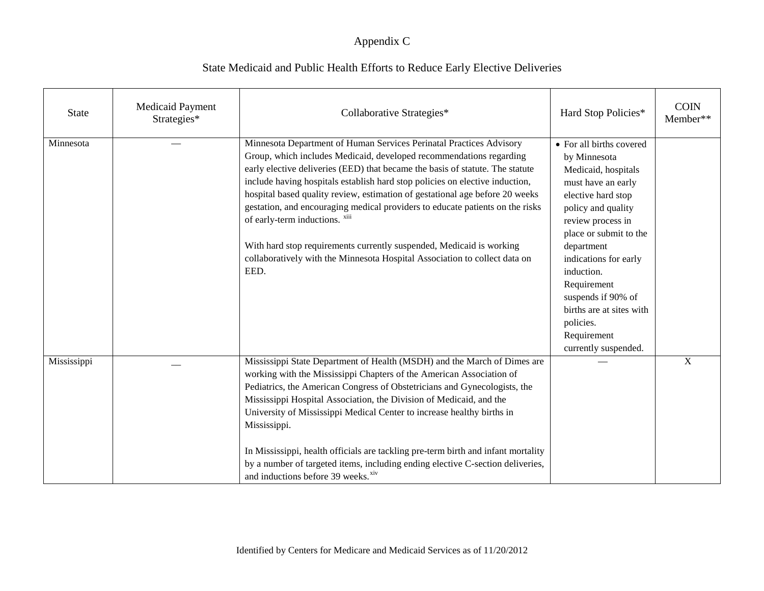| <b>State</b> | <b>Medicaid Payment</b><br>Strategies* | Collaborative Strategies*                                                                                                                                                                                                                                                                                                                                                                                                                                                                                                                                                                                                                                                    | Hard Stop Policies*                                                                                                                                                                                                                                                                                                                                        | <b>COIN</b><br>Member** |
|--------------|----------------------------------------|------------------------------------------------------------------------------------------------------------------------------------------------------------------------------------------------------------------------------------------------------------------------------------------------------------------------------------------------------------------------------------------------------------------------------------------------------------------------------------------------------------------------------------------------------------------------------------------------------------------------------------------------------------------------------|------------------------------------------------------------------------------------------------------------------------------------------------------------------------------------------------------------------------------------------------------------------------------------------------------------------------------------------------------------|-------------------------|
| Minnesota    |                                        | Minnesota Department of Human Services Perinatal Practices Advisory<br>Group, which includes Medicaid, developed recommendations regarding<br>early elective deliveries (EED) that became the basis of statute. The statute<br>include having hospitals establish hard stop policies on elective induction,<br>hospital based quality review, estimation of gestational age before 20 weeks<br>gestation, and encouraging medical providers to educate patients on the risks<br>of early-term inductions. xiii<br>With hard stop requirements currently suspended, Medicaid is working<br>collaboratively with the Minnesota Hospital Association to collect data on<br>EED. | • For all births covered<br>by Minnesota<br>Medicaid, hospitals<br>must have an early<br>elective hard stop<br>policy and quality<br>review process in<br>place or submit to the<br>department<br>indications for early<br>induction.<br>Requirement<br>suspends if 90% of<br>births are at sites with<br>policies.<br>Requirement<br>currently suspended. |                         |
| Mississippi  |                                        | Mississippi State Department of Health (MSDH) and the March of Dimes are<br>working with the Mississippi Chapters of the American Association of<br>Pediatrics, the American Congress of Obstetricians and Gynecologists, the<br>Mississippi Hospital Association, the Division of Medicaid, and the<br>University of Mississippi Medical Center to increase healthy births in<br>Mississippi.<br>In Mississippi, health officials are tackling pre-term birth and infant mortality<br>by a number of targeted items, including ending elective C-section deliveries,<br>and inductions before 39 weeks. <sup>xiv</sup>                                                      |                                                                                                                                                                                                                                                                                                                                                            | $\mathbf X$             |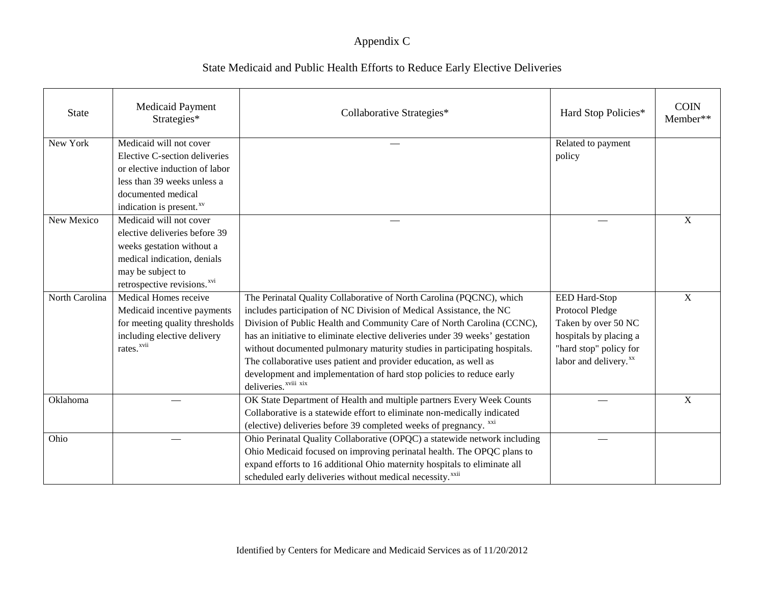| <b>State</b>   | <b>Medicaid Payment</b><br>Strategies*  | Collaborative Strategies*                                                    | Hard Stop Policies*               | <b>COIN</b><br>Member** |
|----------------|-----------------------------------------|------------------------------------------------------------------------------|-----------------------------------|-------------------------|
| New York       | Medicaid will not cover                 |                                                                              | Related to payment                |                         |
|                | Elective C-section deliveries           |                                                                              | policy                            |                         |
|                | or elective induction of labor          |                                                                              |                                   |                         |
|                | less than 39 weeks unless a             |                                                                              |                                   |                         |
|                | documented medical                      |                                                                              |                                   |                         |
|                | indication is present. <sup>xv</sup>    |                                                                              |                                   |                         |
| New Mexico     | Medicaid will not cover                 |                                                                              |                                   | $\mathbf X$             |
|                | elective deliveries before 39           |                                                                              |                                   |                         |
|                | weeks gestation without a               |                                                                              |                                   |                         |
|                | medical indication, denials             |                                                                              |                                   |                         |
|                | may be subject to                       |                                                                              |                                   |                         |
|                | retrospective revisions. <sup>xvi</sup> |                                                                              |                                   |                         |
| North Carolina | Medical Homes receive                   | The Perinatal Quality Collaborative of North Carolina (PQCNC), which         | EED Hard-Stop                     | X                       |
|                | Medicaid incentive payments             | includes participation of NC Division of Medical Assistance, the NC          | Protocol Pledge                   |                         |
|                | for meeting quality thresholds          | Division of Public Health and Community Care of North Carolina (CCNC),       | Taken by over 50 NC               |                         |
|                | including elective delivery             | has an initiative to eliminate elective deliveries under 39 weeks' gestation | hospitals by placing a            |                         |
|                | $\mbox{rates.}^{\mbox{{\sc xvii}}}$     | without documented pulmonary maturity studies in participating hospitals.    | "hard stop" policy for            |                         |
|                |                                         | The collaborative uses patient and provider education, as well as            | labor and delivery. <sup>xx</sup> |                         |
|                |                                         | development and implementation of hard stop policies to reduce early         |                                   |                         |
|                |                                         | deliveries. <sup>xviii</sup> xix                                             |                                   |                         |
| Oklahoma       |                                         | OK State Department of Health and multiple partners Every Week Counts        |                                   | $\mathbf{X}$            |
|                |                                         | Collaborative is a statewide effort to eliminate non-medically indicated     |                                   |                         |
|                |                                         | (elective) deliveries before 39 completed weeks of pregnancy. xxi            |                                   |                         |
| Ohio           |                                         | Ohio Perinatal Quality Collaborative (OPQC) a statewide network including    |                                   |                         |
|                |                                         | Ohio Medicaid focused on improving perinatal health. The OPQC plans to       |                                   |                         |
|                |                                         | expand efforts to 16 additional Ohio maternity hospitals to eliminate all    |                                   |                         |
|                |                                         | scheduled early deliveries without medical necessity. <sup>xxii</sup>        |                                   |                         |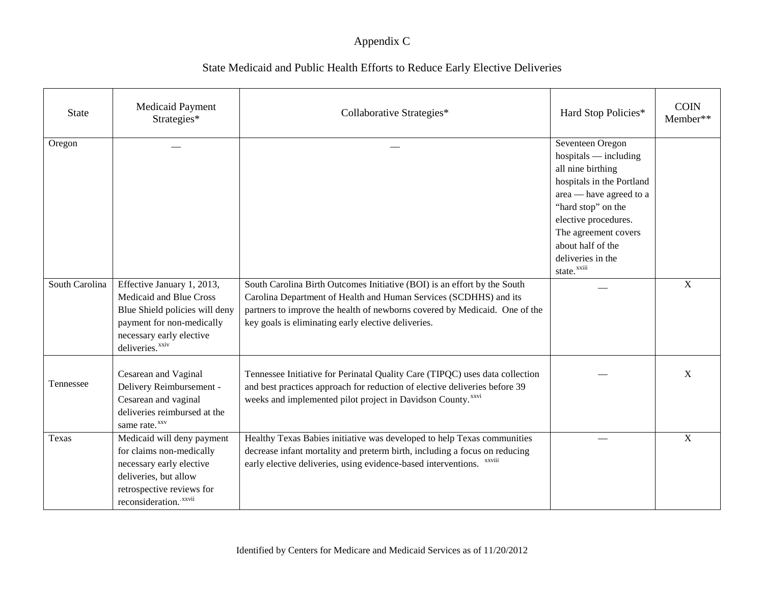| <b>State</b>   | Medicaid Payment<br>Strategies*                                                                                                                                                 | Collaborative Strategies*                                                                                                                                                                                                                                                          | Hard Stop Policies*                                                                                                                                                                                                                                                 | <b>COIN</b><br>Member** |
|----------------|---------------------------------------------------------------------------------------------------------------------------------------------------------------------------------|------------------------------------------------------------------------------------------------------------------------------------------------------------------------------------------------------------------------------------------------------------------------------------|---------------------------------------------------------------------------------------------------------------------------------------------------------------------------------------------------------------------------------------------------------------------|-------------------------|
| Oregon         |                                                                                                                                                                                 |                                                                                                                                                                                                                                                                                    | Seventeen Oregon<br>$hospitals$ — including<br>all nine birthing<br>hospitals in the Portland<br>area — have agreed to a<br>"hard stop" on the<br>elective procedures.<br>The agreement covers<br>about half of the<br>deliveries in the<br>state. <sup>xxiii</sup> |                         |
| South Carolina | Effective January 1, 2013,<br>Medicaid and Blue Cross<br>Blue Shield policies will deny<br>payment for non-medically<br>necessary early elective<br>deliveries. <sup>xxiv</sup> | South Carolina Birth Outcomes Initiative (BOI) is an effort by the South<br>Carolina Department of Health and Human Services (SCDHHS) and its<br>partners to improve the health of newborns covered by Medicaid. One of the<br>key goals is eliminating early elective deliveries. |                                                                                                                                                                                                                                                                     | $\overline{X}$          |
| Tennessee      | Cesarean and Vaginal<br>Delivery Reimbursement -<br>Cesarean and vaginal<br>deliveries reimbursed at the<br>same rate. <sup>xxv</sup>                                           | Tennessee Initiative for Perinatal Quality Care (TIPQC) uses data collection<br>and best practices approach for reduction of elective deliveries before 39<br>weeks and implemented pilot project in Davidson County. <sup>xxvi</sup>                                              |                                                                                                                                                                                                                                                                     | X                       |
| Texas          | Medicaid will deny payment<br>for claims non-medically<br>necessary early elective<br>deliveries, but allow<br>retrospective reviews for<br>reconsideration. xxvii              | Healthy Texas Babies initiative was developed to help Texas communities<br>decrease infant mortality and preterm birth, including a focus on reducing<br>early elective deliveries, using evidence-based interventions.                                                            |                                                                                                                                                                                                                                                                     | $\mathbf X$             |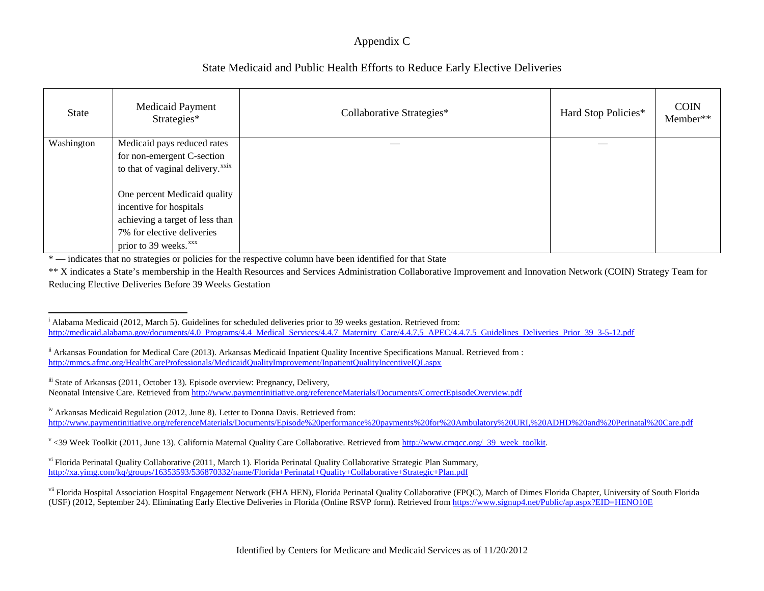## State Medicaid and Public Health Efforts to Reduce Early Elective Deliveries

| <b>State</b> | Medicaid Payment<br>Strategies*                                                                                                                               | Collaborative Strategies* | Hard Stop Policies* | <b>COIN</b><br>Member** |
|--------------|---------------------------------------------------------------------------------------------------------------------------------------------------------------|---------------------------|---------------------|-------------------------|
| Washington   | Medicaid pays reduced rates<br>for non-emergent C-section<br>to that of vaginal delivery. <sup>xxix</sup>                                                     |                           |                     |                         |
|              | One percent Medicaid quality<br>incentive for hospitals<br>achieving a target of less than<br>7% for elective deliveries<br>prior to 39 weeks. <sup>xxx</sup> |                           |                     |                         |

\* — indicates that no strategies or policies for the respective column have been identified for that State

\*\* X indicates a State's membership in the Health Resources and Services Administration Collaborative Improvement and Innovation Network (COIN) Strategy Team for Reducing Elective Deliveries Before 39 Weeks Gestation

<sup>iv</sup> Arkansas Medicaid Regulation (2012, June 8). Letter to Donna Davis. Retrieved from: <http://www.paymentinitiative.org/referenceMaterials/Documents/Episode%20performance%20payments%20for%20Ambulatory%20URI,%20ADHD%20and%20Perinatal%20Care.pdf>

 $v$  <39 Week Toolkit (2011, June 13). California Maternal Quality Care Collaborative. Retrieved from http://www.cmqcc.org/ 39\_week\_toolkit.

vi Florida Perinatal Quality Collaborative (2011, March 1). Florida Perinatal Quality Collaborative Strategic Plan Summary, <http://xa.yimg.com/kq/groups/16353593/536870332/name/Florida+Perinatal+Quality+Collaborative+Strategic+Plan.pdf>

<sup>vii</sup> Florida Hospital Association Hospital Engagement Network (FHA HEN), Florida Perinatal Quality Collaborative (FPQC), March of Dimes Florida Chapter, University of South Florida (USF) (2012, September 24). Eliminating Early Elective Deliveries in Florida (Online RSVP form). Retrieved from <https://www.signup4.net/Public/ap.aspx?EID=HENO10E>

<sup>-</sup><sup>i</sup> Alabama Medicaid (2012, March 5). Guidelines for scheduled deliveries prior to 39 weeks gestation. Retrieved from: [http://medicaid.alabama.gov/documents/4.0\\_Programs/4.4\\_Medical\\_Services/4.4.7\\_Maternity\\_Care/4.4.7.5\\_APEC/4.4.7.5\\_Guidelines\\_Deliveries\\_Prior\\_39\\_3-5-12.pdf](http://medicaid.alabama.gov/documents/4.0_Programs/4.4_Medical_Services/4.4.7_Maternity_Care/4.4.7.5_APEC/4.4.7.5_Guidelines_Deliveries_Prior_39_3-5-12.pdf)

<sup>&</sup>lt;sup>ii</sup> Arkansas Foundation for Medical Care (2013). Arkansas Medicaid Inpatient Quality Incentive Specifications Manual. Retrieved from : <http://mmcs.afmc.org/HealthCareProfessionals/MedicaidQualityImprovement/InpatientQualityIncentiveIQI.aspx>

iii State of Arkansas (2011, October 13). Episode overview: Pregnancy, Delivery, Neonatal Intensive Care. Retrieved from<http://www.paymentinitiative.org/referenceMaterials/Documents/CorrectEpisodeOverview.pdf>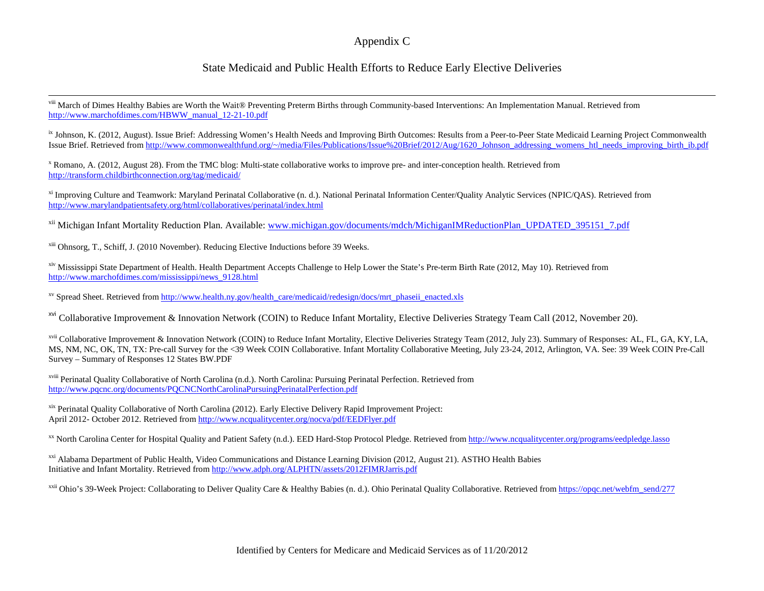### <span id="page-16-7"></span><span id="page-16-6"></span><span id="page-16-5"></span><span id="page-16-4"></span><span id="page-16-3"></span><span id="page-16-2"></span><span id="page-16-1"></span><span id="page-16-0"></span>State Medicaid and Public Health Efforts to Reduce Early Elective Deliveries

 $\overline{a}$ viii March of Dimes Healthy Babies are Worth the Wait® Preventing Preterm Births through Community-based Interventions: An Implementation Manual. Retrieved from [http://www.marchofdimes.com/HBWW\\_manual\\_12-21-10.pdf](http://www.marchofdimes.com/HBWW_manual_12-21-10.pdf)

<sup>ix</sup> Johnson, K. (2012, August). Issue Brief: Addressing Women's Health Needs and Improving Birth Outcomes: Results from a Peer-to-Peer State Medicaid Learning Project Commonwealth Issue Brief. Retrieved from [http://www.commonwealthfund.org/~/media/Files/Publications/Issue%20Brief/2012/Aug/1620\\_Johnson\\_addressing\\_womens\\_htl\\_needs\\_improving\\_birth\\_ib.pdf](http://www.commonwealthfund.org/~/media/Files/Publications/Issue%20Brief/2012/Aug/1620_Johnson_addressing_womens_htl_needs_improving_birth_ib.pdf)

<sup>x</sup> Romano, A. (2012, August 28). From the TMC blog: Multi-state collaborative works to improve pre- and inter-conception health. Retrieved from <http://transform.childbirthconnection.org/tag/medicaid/>

xi Improving Culture and Teamwork: Maryland Perinatal Collaborative (n. d.). National Perinatal Information Center/Quality Analytic Services (NPIC/QAS). Retrieved from <http://www.marylandpatientsafety.org/html/collaboratives/perinatal/index.html>

<sup>xii</sup> Michigan Infant Mortality Reduction Plan. Available: [www.michigan.gov/documents/mdch/MichiganIMReductionPlan\\_UPDATED\\_395151\\_7.pdf](http://www.michigan.gov/documents/mdch/MichiganIMReductionPlan_UPDATED_395151_7.pdf)

xiii Ohnsorg, T., Schiff, J. (2010 November). Reducing Elective Inductions before 39 Weeks.

xiv Mississippi State Department of Health. Health Department Accepts Challenge to Help Lower the State's Pre-term Birth Rate (2012, May 10). Retrieved from [http://www.marchofdimes.com/mississippi/news\\_9128.html](http://www.marchofdimes.com/mississippi/news_9128.html)

xv Spread Sheet. Retrieved from [http://www.health.ny.gov/health\\_care/medicaid/redesign/docs/mrt\\_phaseii\\_enacted.xls](http://www.health.ny.gov/health_care/medicaid/redesign/docs/mrt_phaseii_enacted.xls)

<sup>xvi</sup> Collaborative Improvement & Innovation Network (COIN) to Reduce Infant Mortality, Elective Deliveries Strategy Team Call (2012, November 20).

<sup>xvii</sup> Collaborative Improvement & Innovation Network (COIN) to Reduce Infant Mortality, Elective Deliveries Strategy Team (2012, July 23). Summary of Responses: AL, FL, GA, KY, LA, MS, NM, NC, OK, TN, TX: Pre-call Survey for the <39 Week COIN Collaborative. Infant Mortality Collaborative Meeting, July 23-24, 2012, Arlington, VA. See: 39 Week COIN Pre-Call Survey – Summary of Responses 12 States BW.PDF

xviii Perinatal Quality Collaborative of North Carolina (n.d.). North Carolina: Pursuing Perinatal Perfection. Retrieved from http://www.pqcnc.org/documents/POCNCNorthCarolinaPursuingPerinatalPerfection.pdf

xix Perinatal Quality Collaborative of North Carolina (2012). Early Elective Delivery Rapid Improvement Project: April 2012- October 2012. Retrieved fro[m http://www.ncqualitycenter.org/nocva/pdf/EEDFlyer.pdf](http://www.ncqualitycenter.org/nocva/pdf/EEDFlyer.pdf)

<sup>xx</sup> North Carolina Center for Hospital Quality and Patient Safety (n.d.). EED Hard-Stop Protocol Pledge. Retrieved from<http://www.ncqualitycenter.org/programs/eedpledge.lasso>

xxi Alabama Department of Public Health, Video Communications and Distance Learning Division (2012, August 21). ASTHO Health Babies Initiative and Infant Mortality. Retrieved fro[m http://www.adph.org/ALPHTN/assets/2012FIMRJarris.pdf](http://www.adph.org/ALPHTN/assets/2012FIMRJarris.pdf)

<sup>xxii</sup> Ohio's 39-Week Project: Collaborating to Deliver Quality Care & Healthy Babies (n. d.). Ohio Perinatal Quality Collaborative. Retrieved from [https://opqc.net/webfm\\_send/277](https://opqc.net/webfm_send/277)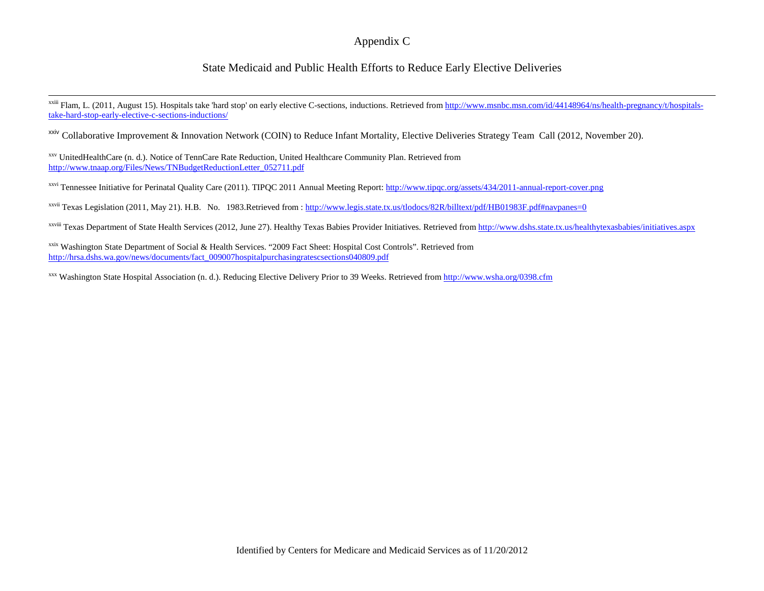### <span id="page-17-18"></span><span id="page-17-17"></span><span id="page-17-16"></span><span id="page-17-15"></span><span id="page-17-14"></span><span id="page-17-13"></span><span id="page-17-12"></span><span id="page-17-11"></span><span id="page-17-10"></span><span id="page-17-9"></span><span id="page-17-8"></span><span id="page-17-7"></span><span id="page-17-6"></span><span id="page-17-5"></span><span id="page-17-4"></span><span id="page-17-3"></span><span id="page-17-2"></span><span id="page-17-1"></span><span id="page-17-0"></span>State Medicaid and Public Health Efforts to Reduce Early Elective Deliveries

 $\overline{a}$ <sup>xxiii</sup> Flam, L. (2011, August 15). Hospitals take 'hard stop' on early elective C-sections, inductions. Retrieved from [http://www.msnbc.msn.com/id/44148964/ns/health-pregnancy/t/hospitals](http://www.msnbc.msn.com/id/44148964/ns/health-pregnancy/t/hospitals-take-hard-stop-early-elective-c-sections-inductions/)[take-hard-stop-early-elective-c-sections-inductions/](http://www.msnbc.msn.com/id/44148964/ns/health-pregnancy/t/hospitals-take-hard-stop-early-elective-c-sections-inductions/) 

<sup>xxiv</sup> Collaborative Improvement & Innovation Network (COIN) to Reduce Infant Mortality, Elective Deliveries Strategy Team Call (2012, November 20).

xxv UnitedHealthCare (n. d.). Notice of TennCare Rate Reduction, United Healthcare Community Plan. Retrieved from [http://www.tnaap.org/Files/News/TNBudgetReductionLetter\\_052711.pdf](http://www.tnaap.org/Files/News/TNBudgetReductionLetter_052711.pdf)

xxvi Tennessee Initiative for Perinatal Quality Care (2011). TIPQC 2011 Annual Meeting Report:<http://www.tipqc.org/assets/434/2011-annual-report-cover.png>

 $x$ <sup>xxvii</sup> Texas Legislation (2011, May 21). H.B. No. 1983.Retrieved from :<http://www.legis.state.tx.us/tlodocs/82R/billtext/pdf/HB01983F.pdf#navpanes=0>

xxviii Texas Department of State Health Services (2012, June 27). Healthy Texas Babies Provider Initiatives. Retrieved from<http://www.dshs.state.tx.us/healthytexasbabies/initiatives.aspx>

xxix Washington State Department of Social & Health Services. "2009 Fact Sheet: Hospital Cost Controls". Retrieved from [http://hrsa.dshs.wa.gov/news/documents/fact\\_009007hospitalpurchasingratescsections040809.pdf](http://hrsa.dshs.wa.gov/news/documents/fact_009007hospitalpurchasingratescsections040809.pdf)

xxx Washington State Hospital Association (n. d.). Reducing Elective Delivery Prior to 39 Weeks. Retrieved from<http://www.wsha.org/0398.cfm>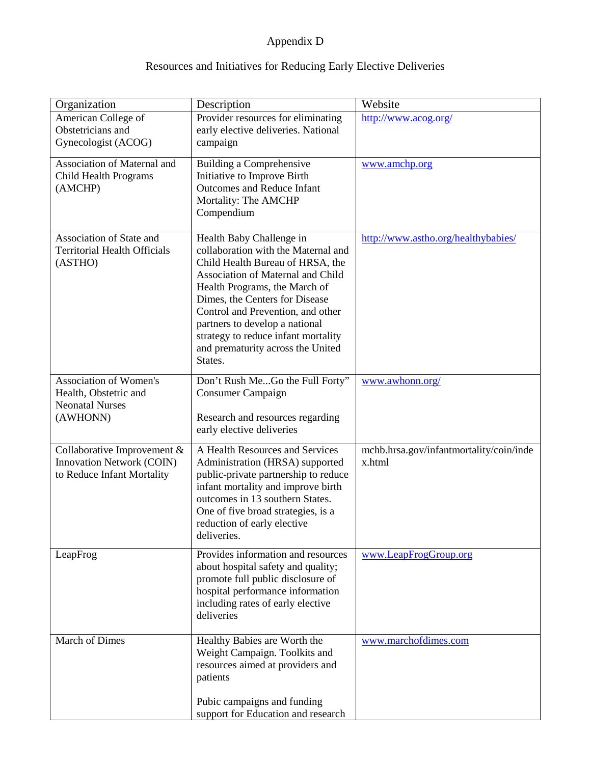## Appendix D

## Resources and Initiatives for Reducing Early Elective Deliveries

| Organization                        | Description                                                             | Website                                 |
|-------------------------------------|-------------------------------------------------------------------------|-----------------------------------------|
| American College of                 | Provider resources for eliminating                                      | http://www.acog.org/                    |
| Obstetricians and                   | early elective deliveries. National                                     |                                         |
| Gynecologist (ACOG)                 | campaign                                                                |                                         |
| Association of Maternal and         | <b>Building a Comprehensive</b>                                         | www.amchp.org                           |
| Child Health Programs               | Initiative to Improve Birth                                             |                                         |
| (AMCHP)                             | Outcomes and Reduce Infant                                              |                                         |
|                                     | Mortality: The AMCHP                                                    |                                         |
|                                     | Compendium                                                              |                                         |
|                                     |                                                                         |                                         |
| Association of State and            | Health Baby Challenge in                                                | http://www.astho.org/healthybabies/     |
| <b>Territorial Health Officials</b> | collaboration with the Maternal and                                     |                                         |
| (ASTHO)                             | Child Health Bureau of HRSA, the<br>Association of Maternal and Child   |                                         |
|                                     | Health Programs, the March of                                           |                                         |
|                                     | Dimes, the Centers for Disease                                          |                                         |
|                                     | Control and Prevention, and other                                       |                                         |
|                                     | partners to develop a national                                          |                                         |
|                                     | strategy to reduce infant mortality                                     |                                         |
|                                     | and prematurity across the United                                       |                                         |
|                                     | States.                                                                 |                                         |
| <b>Association of Women's</b>       | Don't Rush MeGo the Full Forty"                                         | www.awhonn.org/                         |
| Health, Obstetric and               | Consumer Campaign                                                       |                                         |
| <b>Neonatal Nurses</b>              |                                                                         |                                         |
| (AWHONN)                            | Research and resources regarding                                        |                                         |
|                                     | early elective deliveries                                               |                                         |
| Collaborative Improvement &         | A Health Resources and Services                                         | mchb.hrsa.gov/infantmortality/coin/inde |
| Innovation Network (COIN)           | Administration (HRSA) supported                                         | x.html                                  |
| to Reduce Infant Mortality          | public-private partnership to reduce                                    |                                         |
|                                     | infant mortality and improve birth                                      |                                         |
|                                     | outcomes in 13 southern States.                                         |                                         |
|                                     | One of five broad strategies, is a<br>reduction of early elective       |                                         |
|                                     | deliveries.                                                             |                                         |
|                                     |                                                                         |                                         |
| LeapFrog                            | Provides information and resources                                      | www.LeapFrogGroup.org                   |
|                                     | about hospital safety and quality;<br>promote full public disclosure of |                                         |
|                                     | hospital performance information                                        |                                         |
|                                     | including rates of early elective                                       |                                         |
|                                     | deliveries                                                              |                                         |
|                                     |                                                                         |                                         |
| March of Dimes                      | Healthy Babies are Worth the                                            | www.marchofdimes.com                    |
|                                     | Weight Campaign. Toolkits and                                           |                                         |
|                                     | resources aimed at providers and                                        |                                         |
|                                     | patients                                                                |                                         |
|                                     | Pubic campaigns and funding                                             |                                         |
|                                     | support for Education and research                                      |                                         |